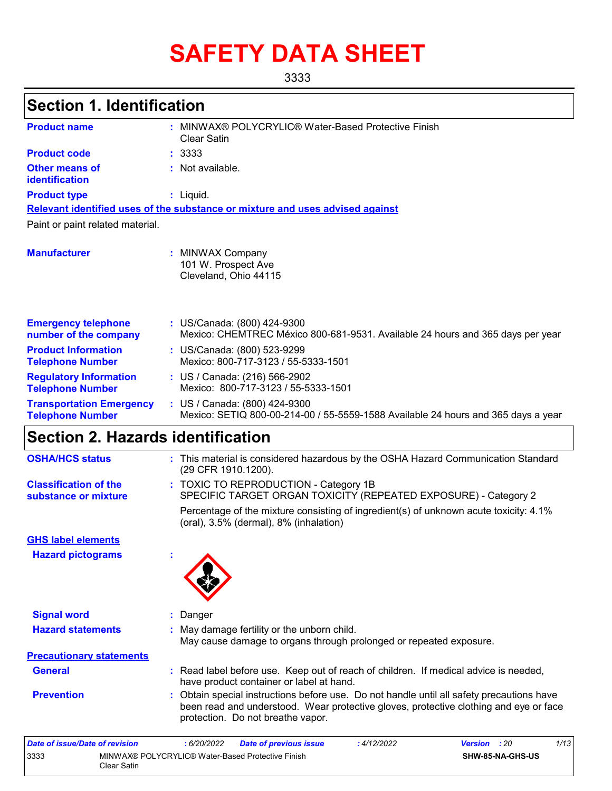# **SAFETY DATA SHEET**

3333

## **Section 1. Identification**

| <b>Product name</b>                                        | MINWAX® POLYCRYLIC® Water-Based Protective Finish<br>Clear Satin                                                   |
|------------------------------------------------------------|--------------------------------------------------------------------------------------------------------------------|
| <b>Product code</b>                                        | : 3333                                                                                                             |
| <b>Other means of</b><br>identification                    | : Not available.                                                                                                   |
| <b>Product type</b>                                        | : Liquid.                                                                                                          |
|                                                            | Relevant identified uses of the substance or mixture and uses advised against                                      |
| Paint or paint related material.                           |                                                                                                                    |
| <b>Manufacturer</b>                                        | MINWAX Company<br>101 W. Prospect Ave<br>Cleveland, Ohio 44115                                                     |
| <b>Emergency telephone</b><br>number of the company        | : US/Canada: (800) 424-9300<br>Mexico: CHEMTREC México 800-681-9531. Available 24 hours and 365 days per year      |
| <b>Product Information</b><br><b>Telephone Number</b>      | : US/Canada: (800) 523-9299<br>Mexico: 800-717-3123 / 55-5333-1501                                                 |
| <b>Regulatory Information</b><br><b>Telephone Number</b>   | : US / Canada: (216) 566-2902<br>Mexico: 800-717-3123 / 55-5333-1501                                               |
| <b>Transportation Emergency</b><br><b>Telephone Number</b> | : US / Canada: (800) 424-9300<br>Mexico: SETIQ 800-00-214-00 / 55-5559-1588 Available 24 hours and 365 days a year |

## **Section 2. Hazards identification**

| <b>OSHA/HCS status</b>                               | : This material is considered hazardous by the OSHA Hazard Communication Standard<br>(29 CFR 1910.1200).                                                                                                                |
|------------------------------------------------------|-------------------------------------------------------------------------------------------------------------------------------------------------------------------------------------------------------------------------|
| <b>Classification of the</b><br>substance or mixture | : TOXIC TO REPRODUCTION - Category 1B<br>SPECIFIC TARGET ORGAN TOXICITY (REPEATED EXPOSURE) - Category 2                                                                                                                |
|                                                      | Percentage of the mixture consisting of ingredient(s) of unknown acute toxicity: 4.1%<br>(oral), 3.5% (dermal), 8% (inhalation)                                                                                         |
| <b>GHS label elements</b>                            |                                                                                                                                                                                                                         |
| <b>Hazard pictograms</b>                             |                                                                                                                                                                                                                         |
| <b>Signal word</b>                                   | : Danger                                                                                                                                                                                                                |
|                                                      |                                                                                                                                                                                                                         |
| <b>Hazard statements</b>                             | : May damage fertility or the unborn child.<br>May cause damage to organs through prolonged or repeated exposure.                                                                                                       |
| <b>Precautionary statements</b>                      |                                                                                                                                                                                                                         |
| <b>General</b>                                       | : Read label before use. Keep out of reach of children. If medical advice is needed,<br>have product container or label at hand.                                                                                        |
| <b>Prevention</b>                                    | : Obtain special instructions before use. Do not handle until all safety precautions have<br>been read and understood. Wear protective gloves, protective clothing and eye or face<br>protection. Do not breathe vapor. |
| <b>Date of issue/Date of revision</b>                | 1/13<br>: 6/20/2022<br>: 4/12/2022<br>: 20<br><b>Date of previous issue</b><br><b>Version</b>                                                                                                                           |
|                                                      |                                                                                                                                                                                                                         |

| Pate VI 13306/Pate VI I crisioni                                         | $. 0202022$ Date of previous issue | . <i>11 I LILVLL</i> | $\mathbf{v}$ and $\mathbf{v}$ . $\mathbf{v}$ |  |
|--------------------------------------------------------------------------|------------------------------------|----------------------|----------------------------------------------|--|
| 3333<br>MINWAX® POLYCRYLIC® Water-Based Protective Finish<br>Clear Satin |                                    |                      | <b>SHW-85-NA-GHS-US</b>                      |  |
|                                                                          |                                    |                      |                                              |  |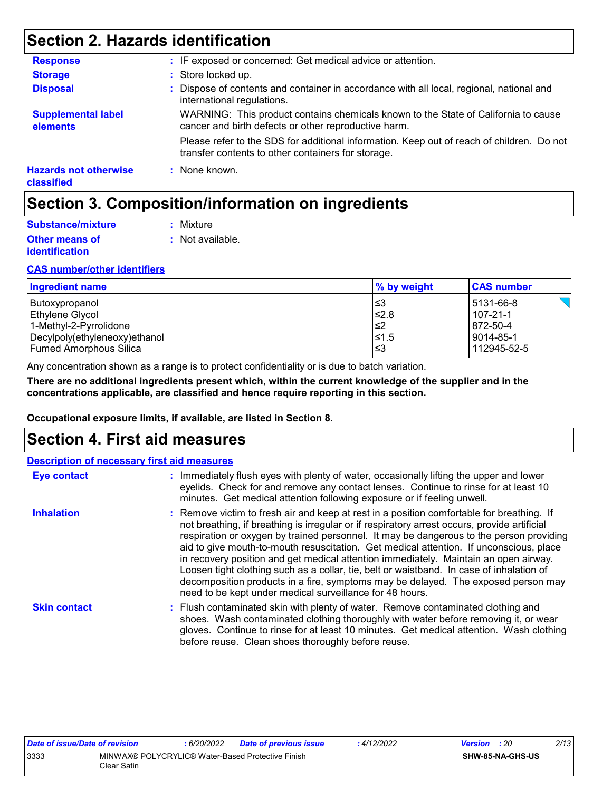## **Section 2. Hazards identification**

| <b>Response</b>                            | : IF exposed or concerned: Get medical advice or attention.                                                                                     |
|--------------------------------------------|-------------------------------------------------------------------------------------------------------------------------------------------------|
| <b>Storage</b>                             | : Store locked up.                                                                                                                              |
| <b>Disposal</b>                            | : Dispose of contents and container in accordance with all local, regional, national and<br>international regulations.                          |
| <b>Supplemental label</b><br>elements      | WARNING: This product contains chemicals known to the State of California to cause<br>cancer and birth defects or other reproductive harm.      |
|                                            | Please refer to the SDS for additional information. Keep out of reach of children. Do not<br>transfer contents to other containers for storage. |
| <b>Hazards not otherwise</b><br>classified | : None known.                                                                                                                                   |

## **Section 3. Composition/information on ingredients**

| Substance/mixture                              | : Mixture        |
|------------------------------------------------|------------------|
| <b>Other means of</b><br><b>identification</b> | : Not available. |

#### **CAS number/other identifiers**

| Ingredient name               | % by weight | <b>CAS number</b> |
|-------------------------------|-------------|-------------------|
| Butoxypropanol                | l≤3         | 5131-66-8         |
| Ethylene Glycol               | $≤2.8$      | $107 - 21 - 1$    |
| 1-Methyl-2-Pyrrolidone        | 2≥ا         | 872-50-4          |
| Decylpoly(ethyleneoxy)ethanol | $≤1.5$      | 9014-85-1         |
| <b>Fumed Amorphous Silica</b> | l≤3         | 112945-52-5       |

Any concentration shown as a range is to protect confidentiality or is due to batch variation.

**There are no additional ingredients present which, within the current knowledge of the supplier and in the concentrations applicable, are classified and hence require reporting in this section.**

**Occupational exposure limits, if available, are listed in Section 8.**

### **Section 4. First aid measures**

|                     | <b>Description of necessary first aid measures</b>                                                                                                                                                                                                                                                                                                                                                                                                                                                                                                                                                                                                                                                                  |
|---------------------|---------------------------------------------------------------------------------------------------------------------------------------------------------------------------------------------------------------------------------------------------------------------------------------------------------------------------------------------------------------------------------------------------------------------------------------------------------------------------------------------------------------------------------------------------------------------------------------------------------------------------------------------------------------------------------------------------------------------|
| <b>Eye contact</b>  | : Immediately flush eyes with plenty of water, occasionally lifting the upper and lower<br>eyelids. Check for and remove any contact lenses. Continue to rinse for at least 10<br>minutes. Get medical attention following exposure or if feeling unwell.                                                                                                                                                                                                                                                                                                                                                                                                                                                           |
| <b>Inhalation</b>   | : Remove victim to fresh air and keep at rest in a position comfortable for breathing. If<br>not breathing, if breathing is irregular or if respiratory arrest occurs, provide artificial<br>respiration or oxygen by trained personnel. It may be dangerous to the person providing<br>aid to give mouth-to-mouth resuscitation. Get medical attention. If unconscious, place<br>in recovery position and get medical attention immediately. Maintain an open airway.<br>Loosen tight clothing such as a collar, tie, belt or waistband. In case of inhalation of<br>decomposition products in a fire, symptoms may be delayed. The exposed person may<br>need to be kept under medical surveillance for 48 hours. |
| <b>Skin contact</b> | : Flush contaminated skin with plenty of water. Remove contaminated clothing and<br>shoes. Wash contaminated clothing thoroughly with water before removing it, or wear<br>gloves. Continue to rinse for at least 10 minutes. Get medical attention. Wash clothing<br>before reuse. Clean shoes thoroughly before reuse.                                                                                                                                                                                                                                                                                                                                                                                            |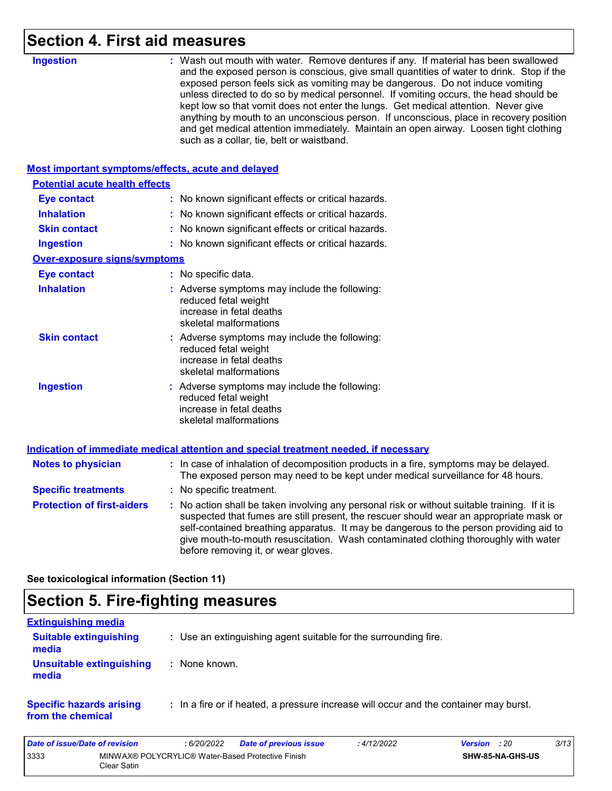## **Section 4. First aid measures**

|                                                    | <b>UL UIU IIIVUJUI V</b>                                                                                                                                                                                                                                                                                                                                                                                                                                                                                                                                                                                                                                                          |
|----------------------------------------------------|-----------------------------------------------------------------------------------------------------------------------------------------------------------------------------------------------------------------------------------------------------------------------------------------------------------------------------------------------------------------------------------------------------------------------------------------------------------------------------------------------------------------------------------------------------------------------------------------------------------------------------------------------------------------------------------|
| <b>Ingestion</b>                                   | : Wash out mouth with water. Remove dentures if any. If material has been swallowed<br>and the exposed person is conscious, give small quantities of water to drink. Stop if the<br>exposed person feels sick as vomiting may be dangerous. Do not induce vomiting<br>unless directed to do so by medical personnel. If vomiting occurs, the head should be<br>kept low so that vomit does not enter the lungs. Get medical attention. Never give<br>anything by mouth to an unconscious person. If unconscious, place in recovery position<br>and get medical attention immediately. Maintain an open airway. Loosen tight clothing<br>such as a collar, tie, belt or waistband. |
| Most important symptoms/effects, acute and delayed |                                                                                                                                                                                                                                                                                                                                                                                                                                                                                                                                                                                                                                                                                   |
| <b>Potential acute health effects</b>              |                                                                                                                                                                                                                                                                                                                                                                                                                                                                                                                                                                                                                                                                                   |
| <b>Eye contact</b>                                 | : No known significant effects or critical hazards.                                                                                                                                                                                                                                                                                                                                                                                                                                                                                                                                                                                                                               |
| <b>Inhalation</b>                                  | : No known significant effects or critical hazards.                                                                                                                                                                                                                                                                                                                                                                                                                                                                                                                                                                                                                               |
| <b>Skin contact</b>                                | : No known significant effects or critical hazards.                                                                                                                                                                                                                                                                                                                                                                                                                                                                                                                                                                                                                               |
| <b>Ingestion</b>                                   | : No known significant effects or critical hazards.                                                                                                                                                                                                                                                                                                                                                                                                                                                                                                                                                                                                                               |
| <b>Over-exposure signs/symptoms</b>                |                                                                                                                                                                                                                                                                                                                                                                                                                                                                                                                                                                                                                                                                                   |
| <b>Eye contact</b>                                 | : No specific data.                                                                                                                                                                                                                                                                                                                                                                                                                                                                                                                                                                                                                                                               |
| <b>Inhalation</b>                                  | : Adverse symptoms may include the following:<br>reduced fetal weight<br>increase in fetal deaths<br>skeletal malformations                                                                                                                                                                                                                                                                                                                                                                                                                                                                                                                                                       |
| <b>Skin contact</b>                                | : Adverse symptoms may include the following:<br>reduced fetal weight<br>increase in fetal deaths<br>skeletal malformations                                                                                                                                                                                                                                                                                                                                                                                                                                                                                                                                                       |
| <b>Ingestion</b>                                   | : Adverse symptoms may include the following:<br>reduced fetal weight<br>increase in fetal deaths<br>skeletal malformations                                                                                                                                                                                                                                                                                                                                                                                                                                                                                                                                                       |
|                                                    | Indication of immediate medical attention and special treatment needed, if necessary                                                                                                                                                                                                                                                                                                                                                                                                                                                                                                                                                                                              |
| <b>Notes to physician</b>                          | : In case of inhalation of decomposition products in a fire, symptoms may be delayed.<br>The exposed person may need to be kept under medical surveillance for 48 hours.                                                                                                                                                                                                                                                                                                                                                                                                                                                                                                          |
| <b>Specific treatments</b>                         | : No specific treatment.                                                                                                                                                                                                                                                                                                                                                                                                                                                                                                                                                                                                                                                          |
| <b>Protection of first-aiders</b>                  | : No action shall be taken involving any personal risk or without suitable training. If it is<br>suspected that fumes are still present, the rescuer should wear an appropriate mask or<br>self-contained breathing apparatus. It may be dangerous to the person providing aid to<br>give mouth-to-mouth resuscitation. Wash contaminated clothing thoroughly with water<br>before removing it, or wear gloves.                                                                                                                                                                                                                                                                   |

**See toxicological information (Section 11)**

## **Section 5. Fire-fighting measures**

| <b>Extinguishing media</b>                           |                                                                                       |
|------------------------------------------------------|---------------------------------------------------------------------------------------|
| <b>Suitable extinguishing</b><br>media               | : Use an extinguishing agent suitable for the surrounding fire.                       |
| <b>Unsuitable extinguishing</b><br>media             | : None known.                                                                         |
| <b>Specific hazards arising</b><br>from the chemical | : In a fire or if heated, a pressure increase will occur and the container may burst. |

| Date of issue/Date of revision |                                                                  | 6/20/2022 | <b>Date of previous issue</b> | : 4/12/2022 | <b>Version</b> : 20 |                  | 3/13 |
|--------------------------------|------------------------------------------------------------------|-----------|-------------------------------|-------------|---------------------|------------------|------|
| 3333                           | MINWAX® POLYCRYLIC® Water-Based Protective Finish<br>Clear Satin |           |                               |             |                     | SHW-85-NA-GHS-US |      |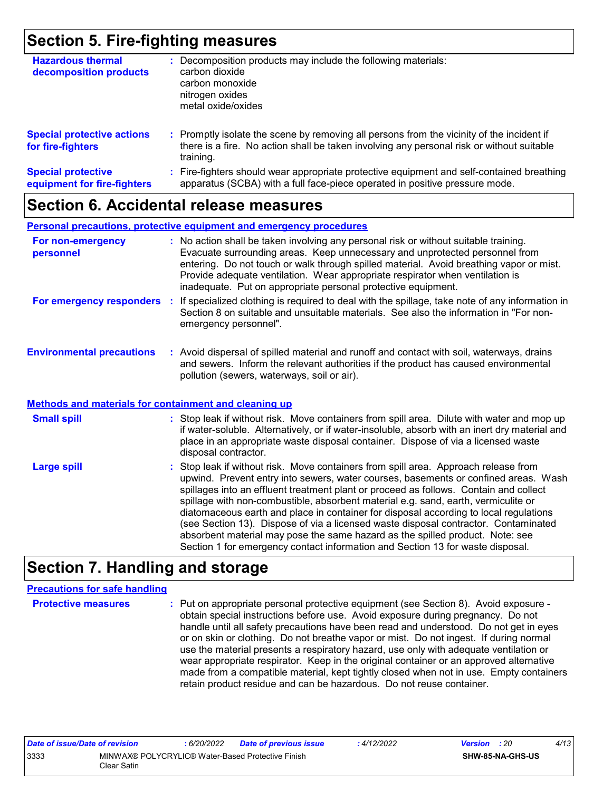### **Section 5. Fire-fighting measures**

| <b>Hazardous thermal</b><br>decomposition products       | Decomposition products may include the following materials:<br>carbon dioxide<br>carbon monoxide<br>nitrogen oxides<br>metal oxide/oxides                                                               |
|----------------------------------------------------------|---------------------------------------------------------------------------------------------------------------------------------------------------------------------------------------------------------|
| <b>Special protective actions</b><br>for fire-fighters   | Promptly isolate the scene by removing all persons from the vicinity of the incident if<br>÷.<br>there is a fire. No action shall be taken involving any personal risk or without suitable<br>training. |
| <b>Special protective</b><br>equipment for fire-fighters | Fire-fighters should wear appropriate protective equipment and self-contained breathing<br>apparatus (SCBA) with a full face-piece operated in positive pressure mode.                                  |

### **Section 6. Accidental release measures**

|                                                              | <b>Personal precautions, protective equipment and emergency procedures</b>                                                                                                                                                                                                                                                                                                                                       |
|--------------------------------------------------------------|------------------------------------------------------------------------------------------------------------------------------------------------------------------------------------------------------------------------------------------------------------------------------------------------------------------------------------------------------------------------------------------------------------------|
| For non-emergency<br>personnel                               | : No action shall be taken involving any personal risk or without suitable training.<br>Evacuate surrounding areas. Keep unnecessary and unprotected personnel from<br>entering. Do not touch or walk through spilled material. Avoid breathing vapor or mist.<br>Provide adequate ventilation. Wear appropriate respirator when ventilation is<br>inadequate. Put on appropriate personal protective equipment. |
|                                                              | For emergency responders : If specialized clothing is required to deal with the spillage, take note of any information in<br>Section 8 on suitable and unsuitable materials. See also the information in "For non-<br>emergency personnel".                                                                                                                                                                      |
| <b>Environmental precautions</b>                             | : Avoid dispersal of spilled material and runoff and contact with soil, waterways, drains<br>and sewers. Inform the relevant authorities if the product has caused environmental<br>pollution (sewers, waterways, soil or air).                                                                                                                                                                                  |
| <b>Methods and materials for containment and cleaning up</b> |                                                                                                                                                                                                                                                                                                                                                                                                                  |
| <b>Small spill</b>                                           | : Stop leak if without risk. Move containers from spill area. Dilute with water and mop up<br>if water-soluble. Alternatively, or if water-insoluble, absorb with an inert dry material and<br>place in an appropriate waste disposal container. Dispose of via a licensed waste<br>disposal contractor.                                                                                                         |
| <b>Large spill</b>                                           | : Stop leak if without risk. Move containers from spill area. Approach release from<br>upwind. Prevent entry into sewers, water courses, basements or confined areas. Wash                                                                                                                                                                                                                                       |

#### upwind. Prevent entry into sewers, water courses, basements or confined areas. Wash spillages into an effluent treatment plant or proceed as follows. Contain and collect spillage with non-combustible, absorbent material e.g. sand, earth, vermiculite or diatomaceous earth and place in container for disposal according to local regulations (see Section 13). Dispose of via a licensed waste disposal contractor. Contaminated absorbent material may pose the same hazard as the spilled product. Note: see Section 1 for emergency contact information and Section 13 for waste disposal.

### **Section 7. Handling and storage**

#### **Precautions for safe handling**

**Protective measures Theory of the exponential exponent (see Section 8).** Avoid exposure obtain special instructions before use. Avoid exposure during pregnancy. Do not handle until all safety precautions have been read and understood. Do not get in eyes or on skin or clothing. Do not breathe vapor or mist. Do not ingest. If during normal use the material presents a respiratory hazard, use only with adequate ventilation or wear appropriate respirator. Keep in the original container or an approved alternative made from a compatible material, kept tightly closed when not in use. Empty containers retain product residue and can be hazardous. Do not reuse container.

| Date of issue/Date of revision |                                                                  | 6/20/2022 | Date of previous issue | 4/12/2022 | <b>Version</b> : 20 |                  | 4/13 |
|--------------------------------|------------------------------------------------------------------|-----------|------------------------|-----------|---------------------|------------------|------|
| 3333                           | MINWAX® POLYCRYLIC® Water-Based Protective Finish<br>Clear Satin |           |                        |           |                     | SHW-85-NA-GHS-US |      |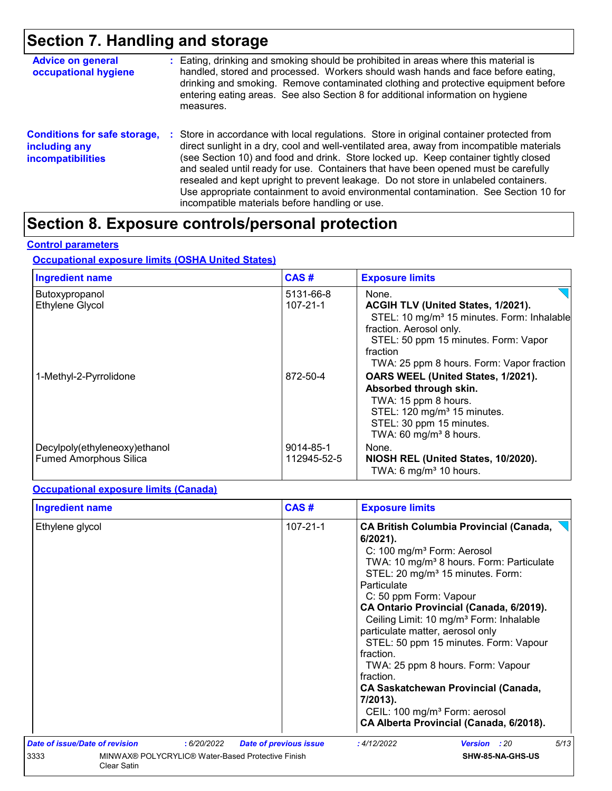## **Section 7. Handling and storage**

| <b>Advice on general</b><br>occupational hygiene                                 | : Eating, drinking and smoking should be prohibited in areas where this material is<br>handled, stored and processed. Workers should wash hands and face before eating,<br>drinking and smoking. Remove contaminated clothing and protective equipment before<br>entering eating areas. See also Section 8 for additional information on hygiene<br>measures.                                                                                                                                                                                                                                       |
|----------------------------------------------------------------------------------|-----------------------------------------------------------------------------------------------------------------------------------------------------------------------------------------------------------------------------------------------------------------------------------------------------------------------------------------------------------------------------------------------------------------------------------------------------------------------------------------------------------------------------------------------------------------------------------------------------|
| <b>Conditions for safe storage,</b><br>including any<br><b>incompatibilities</b> | : Store in accordance with local regulations. Store in original container protected from<br>direct sunlight in a dry, cool and well-ventilated area, away from incompatible materials<br>(see Section 10) and food and drink. Store locked up. Keep container tightly closed<br>and sealed until ready for use. Containers that have been opened must be carefully<br>resealed and kept upright to prevent leakage. Do not store in unlabeled containers.<br>Use appropriate containment to avoid environmental contamination. See Section 10 for<br>incompatible materials before handling or use. |

## **Section 8. Exposure controls/personal protection**

#### **Control parameters**

#### **Occupational exposure limits (OSHA United States)**

| <b>Ingredient name</b>                                         | CAS#                        | <b>Exposure limits</b>                                                                                                                                                                                                            |
|----------------------------------------------------------------|-----------------------------|-----------------------------------------------------------------------------------------------------------------------------------------------------------------------------------------------------------------------------------|
| Butoxypropanol<br><b>Ethylene Glycol</b>                       | 5131-66-8<br>$107 - 21 - 1$ | None.<br>ACGIH TLV (United States, 1/2021).<br>STEL: 10 mg/m <sup>3</sup> 15 minutes. Form: Inhalable<br>fraction. Aerosol only.<br>STEL: 50 ppm 15 minutes. Form: Vapor<br>fraction<br>TWA: 25 ppm 8 hours. Form: Vapor fraction |
| 1-Methyl-2-Pyrrolidone                                         | 872-50-4                    | OARS WEEL (United States, 1/2021).<br>Absorbed through skin.<br>TWA: 15 ppm 8 hours.<br>STEL: 120 mg/m <sup>3</sup> 15 minutes.<br>STEL: 30 ppm 15 minutes.<br>TWA: 60 mg/m <sup>3</sup> 8 hours.                                 |
| Decylpoly(ethyleneoxy)ethanol<br><b>Fumed Amorphous Silica</b> | 9014-85-1<br>112945-52-5    | None.<br>NIOSH REL (United States, 10/2020).<br>TWA: 6 mg/m <sup>3</sup> 10 hours.                                                                                                                                                |

#### **Occupational exposure limits (Canada)**

| CAS#<br><b>Ingredient name</b>        |                                                   |                               | <b>Exposure limits</b>                                                                                                                                                                                                                                                                                                                                                                                                                                                                                                                                                                                                                                   |      |  |  |
|---------------------------------------|---------------------------------------------------|-------------------------------|----------------------------------------------------------------------------------------------------------------------------------------------------------------------------------------------------------------------------------------------------------------------------------------------------------------------------------------------------------------------------------------------------------------------------------------------------------------------------------------------------------------------------------------------------------------------------------------------------------------------------------------------------------|------|--|--|
| Ethylene glycol<br>: 6/20/2022        |                                                   | $107 - 21 - 1$                | <b>CA British Columbia Provincial (Canada,</b><br>$6/2021$ ).<br>C: 100 mg/m <sup>3</sup> Form: Aerosol<br>TWA: 10 mg/m <sup>3</sup> 8 hours. Form: Particulate<br>STEL: 20 mg/m <sup>3</sup> 15 minutes. Form:<br>Particulate<br>C: 50 ppm Form: Vapour<br>CA Ontario Provincial (Canada, 6/2019).<br>Ceiling Limit: 10 mg/m <sup>3</sup> Form: Inhalable<br>particulate matter, aerosol only<br>STEL: 50 ppm 15 minutes. Form: Vapour<br>fraction.<br>TWA: 25 ppm 8 hours. Form: Vapour<br>fraction.<br><b>CA Saskatchewan Provincial (Canada,</b><br>7/2013).<br>CEIL: 100 mg/m <sup>3</sup> Form: aerosol<br>CA Alberta Provincial (Canada, 6/2018). |      |  |  |
| <b>Date of issue/Date of revision</b> |                                                   | <b>Date of previous issue</b> | :4/12/2022<br><b>Version</b> : 20                                                                                                                                                                                                                                                                                                                                                                                                                                                                                                                                                                                                                        | 5/13 |  |  |
| 3333<br>Clear Satin                   | MINWAX® POLYCRYLIC® Water-Based Protective Finish |                               | SHW-85-NA-GHS-US                                                                                                                                                                                                                                                                                                                                                                                                                                                                                                                                                                                                                                         |      |  |  |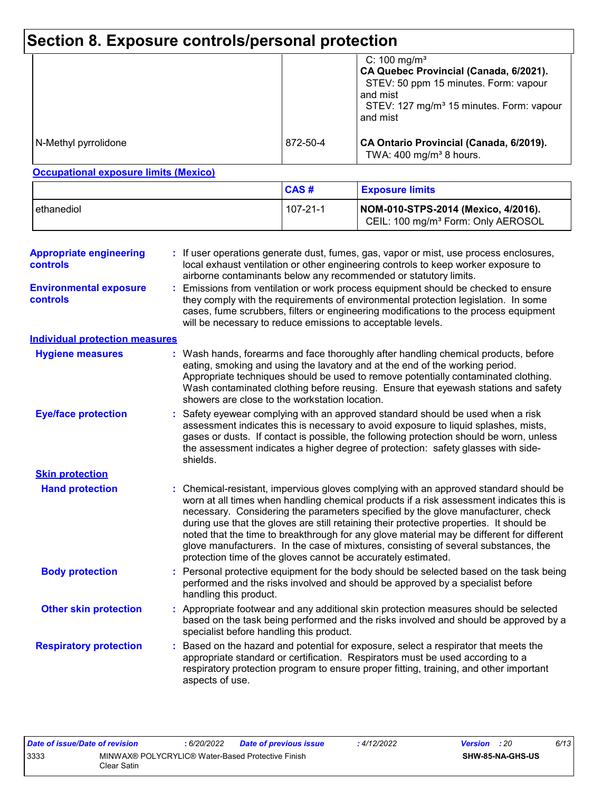## **Section 8. Exposure controls/personal protection**

|                      |          | C: 100 mg/m <sup>3</sup><br>CA Quebec Provincial (Canada, 6/2021).<br>STEV: 50 ppm 15 minutes. Form: vapour<br>and mist<br>STEV: 127 mg/m <sup>3</sup> 15 minutes. Form: vapour<br>and mist |  |  |
|----------------------|----------|---------------------------------------------------------------------------------------------------------------------------------------------------------------------------------------------|--|--|
| N-Methyl pyrrolidone | 872-50-4 | CA Ontario Provincial (Canada, 6/2019).<br>TWA: $400 \text{ mg/m}^3$ 8 hours.                                                                                                               |  |  |

#### **Occupational exposure limits (Mexico)**

|              | <b>CAS#</b>    | <b>Exposure limits</b>                                                                |  |  |
|--------------|----------------|---------------------------------------------------------------------------------------|--|--|
| l ethanediol | $107 - 21 - 1$ | NOM-010-STPS-2014 (Mexico, 4/2016).<br>CEIL: 100 mg/m <sup>3</sup> Form: Only AEROSOL |  |  |

| <b>Environmental exposure</b><br>Emissions from ventilation or work process equipment should be checked to ensure<br>they comply with the requirements of environmental protection legislation. In some<br><b>controls</b><br>cases, fume scrubbers, filters or engineering modifications to the process equipment<br>will be necessary to reduce emissions to acceptable levels.<br><b>Individual protection measures</b><br>Wash hands, forearms and face thoroughly after handling chemical products, before<br><b>Hygiene measures</b><br>eating, smoking and using the lavatory and at the end of the working period.<br>Appropriate techniques should be used to remove potentially contaminated clothing.<br>Wash contaminated clothing before reusing. Ensure that eyewash stations and safety<br>showers are close to the workstation location.<br><b>Eye/face protection</b><br>Safety eyewear complying with an approved standard should be used when a risk<br>assessment indicates this is necessary to avoid exposure to liquid splashes, mists,<br>gases or dusts. If contact is possible, the following protection should be worn, unless<br>the assessment indicates a higher degree of protection: safety glasses with side-<br>shields.<br><b>Skin protection</b><br><b>Hand protection</b><br>: Chemical-resistant, impervious gloves complying with an approved standard should be<br>worn at all times when handling chemical products if a risk assessment indicates this is<br>necessary. Considering the parameters specified by the glove manufacturer, check<br>during use that the gloves are still retaining their protective properties. It should be<br>noted that the time to breakthrough for any glove material may be different for different<br>glove manufacturers. In the case of mixtures, consisting of several substances, the<br>protection time of the gloves cannot be accurately estimated.<br><b>Body protection</b><br>Personal protective equipment for the body should be selected based on the task being<br>performed and the risks involved and should be approved by a specialist before<br>handling this product.<br><b>Other skin protection</b><br>Appropriate footwear and any additional skin protection measures should be selected<br>based on the task being performed and the risks involved and should be approved by a<br>specialist before handling this product.<br><b>Respiratory protection</b><br>Based on the hazard and potential for exposure, select a respirator that meets the<br>appropriate standard or certification. Respirators must be used according to a<br>respiratory protection program to ensure proper fitting, training, and other important | <b>Appropriate engineering</b><br><b>controls</b> | : If user operations generate dust, fumes, gas, vapor or mist, use process enclosures,<br>local exhaust ventilation or other engineering controls to keep worker exposure to<br>airborne contaminants below any recommended or statutory limits. |
|---------------------------------------------------------------------------------------------------------------------------------------------------------------------------------------------------------------------------------------------------------------------------------------------------------------------------------------------------------------------------------------------------------------------------------------------------------------------------------------------------------------------------------------------------------------------------------------------------------------------------------------------------------------------------------------------------------------------------------------------------------------------------------------------------------------------------------------------------------------------------------------------------------------------------------------------------------------------------------------------------------------------------------------------------------------------------------------------------------------------------------------------------------------------------------------------------------------------------------------------------------------------------------------------------------------------------------------------------------------------------------------------------------------------------------------------------------------------------------------------------------------------------------------------------------------------------------------------------------------------------------------------------------------------------------------------------------------------------------------------------------------------------------------------------------------------------------------------------------------------------------------------------------------------------------------------------------------------------------------------------------------------------------------------------------------------------------------------------------------------------------------------------------------------------------------------------------------------------------------------------------------------------------------------------------------------------------------------------------------------------------------------------------------------------------------------------------------------------------------------------------------------------------------------------------------------------------------------------------------------------------------------------------------------------------------------------------------------------------------|---------------------------------------------------|--------------------------------------------------------------------------------------------------------------------------------------------------------------------------------------------------------------------------------------------------|
|                                                                                                                                                                                                                                                                                                                                                                                                                                                                                                                                                                                                                                                                                                                                                                                                                                                                                                                                                                                                                                                                                                                                                                                                                                                                                                                                                                                                                                                                                                                                                                                                                                                                                                                                                                                                                                                                                                                                                                                                                                                                                                                                                                                                                                                                                                                                                                                                                                                                                                                                                                                                                                                                                                                                       |                                                   |                                                                                                                                                                                                                                                  |
|                                                                                                                                                                                                                                                                                                                                                                                                                                                                                                                                                                                                                                                                                                                                                                                                                                                                                                                                                                                                                                                                                                                                                                                                                                                                                                                                                                                                                                                                                                                                                                                                                                                                                                                                                                                                                                                                                                                                                                                                                                                                                                                                                                                                                                                                                                                                                                                                                                                                                                                                                                                                                                                                                                                                       |                                                   |                                                                                                                                                                                                                                                  |
|                                                                                                                                                                                                                                                                                                                                                                                                                                                                                                                                                                                                                                                                                                                                                                                                                                                                                                                                                                                                                                                                                                                                                                                                                                                                                                                                                                                                                                                                                                                                                                                                                                                                                                                                                                                                                                                                                                                                                                                                                                                                                                                                                                                                                                                                                                                                                                                                                                                                                                                                                                                                                                                                                                                                       |                                                   |                                                                                                                                                                                                                                                  |
|                                                                                                                                                                                                                                                                                                                                                                                                                                                                                                                                                                                                                                                                                                                                                                                                                                                                                                                                                                                                                                                                                                                                                                                                                                                                                                                                                                                                                                                                                                                                                                                                                                                                                                                                                                                                                                                                                                                                                                                                                                                                                                                                                                                                                                                                                                                                                                                                                                                                                                                                                                                                                                                                                                                                       |                                                   |                                                                                                                                                                                                                                                  |
|                                                                                                                                                                                                                                                                                                                                                                                                                                                                                                                                                                                                                                                                                                                                                                                                                                                                                                                                                                                                                                                                                                                                                                                                                                                                                                                                                                                                                                                                                                                                                                                                                                                                                                                                                                                                                                                                                                                                                                                                                                                                                                                                                                                                                                                                                                                                                                                                                                                                                                                                                                                                                                                                                                                                       |                                                   |                                                                                                                                                                                                                                                  |
|                                                                                                                                                                                                                                                                                                                                                                                                                                                                                                                                                                                                                                                                                                                                                                                                                                                                                                                                                                                                                                                                                                                                                                                                                                                                                                                                                                                                                                                                                                                                                                                                                                                                                                                                                                                                                                                                                                                                                                                                                                                                                                                                                                                                                                                                                                                                                                                                                                                                                                                                                                                                                                                                                                                                       |                                                   |                                                                                                                                                                                                                                                  |
|                                                                                                                                                                                                                                                                                                                                                                                                                                                                                                                                                                                                                                                                                                                                                                                                                                                                                                                                                                                                                                                                                                                                                                                                                                                                                                                                                                                                                                                                                                                                                                                                                                                                                                                                                                                                                                                                                                                                                                                                                                                                                                                                                                                                                                                                                                                                                                                                                                                                                                                                                                                                                                                                                                                                       |                                                   |                                                                                                                                                                                                                                                  |
|                                                                                                                                                                                                                                                                                                                                                                                                                                                                                                                                                                                                                                                                                                                                                                                                                                                                                                                                                                                                                                                                                                                                                                                                                                                                                                                                                                                                                                                                                                                                                                                                                                                                                                                                                                                                                                                                                                                                                                                                                                                                                                                                                                                                                                                                                                                                                                                                                                                                                                                                                                                                                                                                                                                                       |                                                   |                                                                                                                                                                                                                                                  |
|                                                                                                                                                                                                                                                                                                                                                                                                                                                                                                                                                                                                                                                                                                                                                                                                                                                                                                                                                                                                                                                                                                                                                                                                                                                                                                                                                                                                                                                                                                                                                                                                                                                                                                                                                                                                                                                                                                                                                                                                                                                                                                                                                                                                                                                                                                                                                                                                                                                                                                                                                                                                                                                                                                                                       |                                                   | aspects of use.                                                                                                                                                                                                                                  |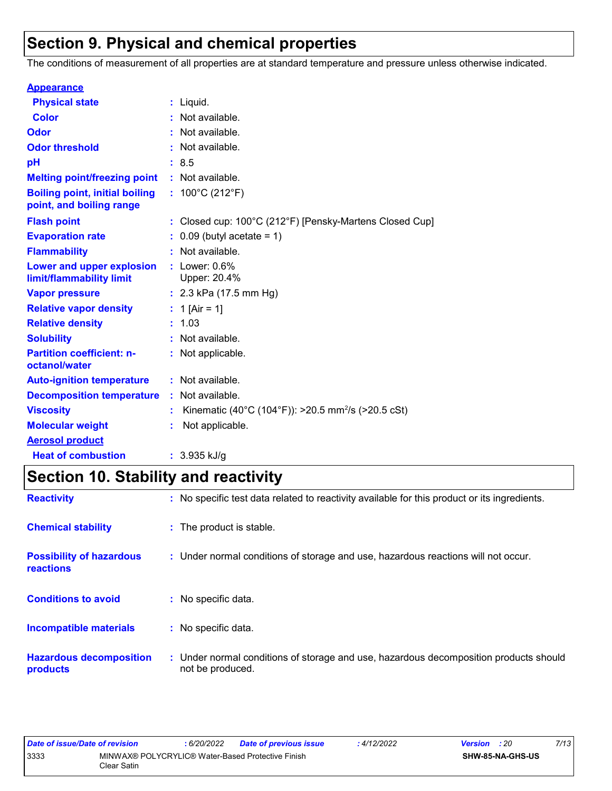## **Section 9. Physical and chemical properties**

The conditions of measurement of all properties are at standard temperature and pressure unless otherwise indicated.

| <b>Appearance</b>                                                 |                                                                |
|-------------------------------------------------------------------|----------------------------------------------------------------|
| <b>Physical state</b>                                             | $:$ Liquid.                                                    |
| <b>Color</b>                                                      | Not available.                                                 |
| Odor                                                              | Not available.                                                 |
| <b>Odor threshold</b>                                             | Not available.                                                 |
| pH                                                                | : 8.5                                                          |
| <b>Melting point/freezing point</b>                               | : Not available.                                               |
| <b>Boiling point, initial boiling</b><br>point, and boiling range | : $100^{\circ}$ C (212 $^{\circ}$ F)                           |
| <b>Flash point</b>                                                | Closed cup: 100°C (212°F) [Pensky-Martens Closed Cup]          |
| <b>Evaporation rate</b>                                           | $0.09$ (butyl acetate = 1)                                     |
| <b>Flammability</b>                                               | Not available.                                                 |
| Lower and upper explosion<br>limit/flammability limit             | $:$ Lower: $0.6\%$<br>Upper: 20.4%                             |
| <b>Vapor pressure</b>                                             | : $2.3$ kPa (17.5 mm Hg)                                       |
| <b>Relative vapor density</b>                                     | 1 [Air = 1]                                                    |
| <b>Relative density</b>                                           | : 1.03                                                         |
| <b>Solubility</b>                                                 | Not available.                                                 |
| <b>Partition coefficient: n-</b><br>octanol/water                 | : Not applicable.                                              |
| <b>Auto-ignition temperature</b>                                  | : Not available.                                               |
| <b>Decomposition temperature</b>                                  | : Not available.                                               |
| <b>Viscosity</b>                                                  | Kinematic (40°C (104°F)): >20.5 mm <sup>2</sup> /s (>20.5 cSt) |
| <b>Molecular weight</b>                                           | Not applicable.                                                |
| <b>Aerosol product</b>                                            |                                                                |
| <b>Heat of combustion</b>                                         | $: 3.935$ kJ/g                                                 |

## **Section 10. Stability and reactivity**

| <b>Reactivity</b>                                   | : No specific test data related to reactivity available for this product or its ingredients.              |
|-----------------------------------------------------|-----------------------------------------------------------------------------------------------------------|
| <b>Chemical stability</b>                           | : The product is stable.                                                                                  |
| <b>Possibility of hazardous</b><br><b>reactions</b> | : Under normal conditions of storage and use, hazardous reactions will not occur.                         |
| <b>Conditions to avoid</b>                          | : No specific data.                                                                                       |
| <b>Incompatible materials</b>                       | : No specific data.                                                                                       |
| <b>Hazardous decomposition</b><br>products          | : Under normal conditions of storage and use, hazardous decomposition products should<br>not be produced. |

| Date of issue/Date of revision |                                                                  | 6/20/2022 | <b>Date of previous issue</b> | : 4/12/2022 | <b>Version</b> : 20 |                  | 7/13 |
|--------------------------------|------------------------------------------------------------------|-----------|-------------------------------|-------------|---------------------|------------------|------|
| 3333                           | MINWAX® POLYCRYLIC® Water-Based Protective Finish<br>Clear Satin |           |                               |             |                     | SHW-85-NA-GHS-US |      |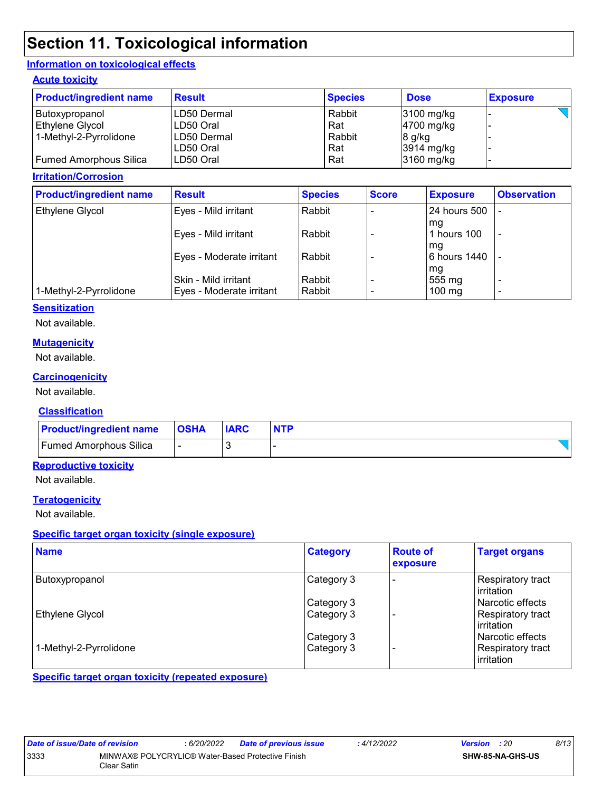## **Section 11. Toxicological information**

#### **Information on toxicological effects**

#### **Acute toxicity**

| <b>Product/ingredient name</b> | <b>Result</b> | <b>Species</b> | <b>Dose</b>  | <b>Exposure</b> |
|--------------------------------|---------------|----------------|--------------|-----------------|
| Butoxypropanol                 | LD50 Dermal   | Rabbit         | $3100$ mg/kg |                 |
| Ethylene Glycol                | LD50 Oral     | Rat            | 4700 mg/kg   |                 |
| 1-Methyl-2-Pyrrolidone         | LD50 Dermal   | Rabbit         | $8$ g/kg     |                 |
|                                | LD50 Oral     | Rat            | $3914$ mg/kg |                 |
| <b>Fumed Amorphous Silica</b>  | LD50 Oral     | Rat            | 3160 mg/kg   |                 |

#### **Irritation/Corrosion**

| <b>Product/ingredient name</b> | <b>Result</b>                                    | <b>Species</b>     | <b>Score</b>             | <b>Exposure</b>                  | <b>Observation</b>            |
|--------------------------------|--------------------------------------------------|--------------------|--------------------------|----------------------------------|-------------------------------|
| <b>Ethylene Glycol</b>         | Eyes - Mild irritant                             | Rabbit             |                          | <b>24 hours 500</b>              |                               |
|                                | Eyes - Mild irritant                             | Rabbit             |                          | mq<br>hours 100<br>mg            | $\overline{a}$                |
|                                | Eyes - Moderate irritant                         | Rabbit             |                          | 6 hours 1440                     |                               |
| 1-Methyl-2-Pyrrolidone         | Skin - Mild irritant<br>Eyes - Moderate irritant | Rabbit<br>l Rabbit | $\overline{\phantom{0}}$ | mg<br>555 mg<br>$100 \text{ mg}$ | -<br>$\overline{\phantom{0}}$ |

#### **Sensitization**

Not available.

#### **Mutagenicity**

Not available.

#### **Carcinogenicity**

Not available.

#### **Classification**

| <b>Product/ingredient name</b> | <b>OSHA</b> | <b>IARC</b> | <b>NTP</b> |
|--------------------------------|-------------|-------------|------------|
| <b>Fumed Amorphous Silica</b>  | -           |             |            |

#### **Reproductive toxicity**

Not available.

#### **Teratogenicity**

Not available.

#### **Specific target organ toxicity (single exposure)**

| <b>Name</b>            | <b>Category</b> | <b>Route of</b><br>exposure | <b>Target organs</b>                     |
|------------------------|-----------------|-----------------------------|------------------------------------------|
| Butoxypropanol         | Category 3      |                             | <b>Respiratory tract</b><br>l irritation |
|                        | Category 3      |                             | l Narcotic effects                       |
| Ethylene Glycol        | Category 3      |                             | Respiratory tract<br><b>lirritation</b>  |
|                        | Category 3      |                             | l Narcotic effects                       |
| 1-Methyl-2-Pyrrolidone | Category 3      |                             | <b>Respiratory tract</b><br>irritation   |

**Specific target organ toxicity (repeated exposure)**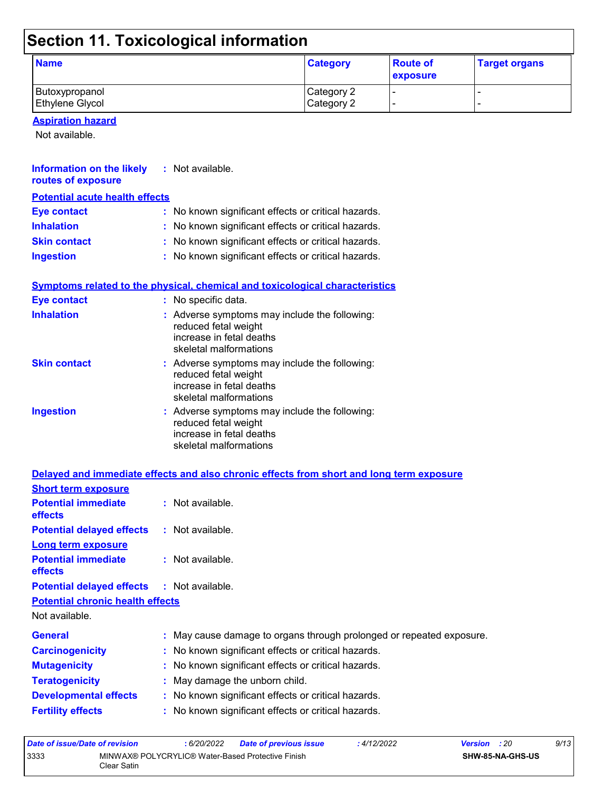## **Section 11. Toxicological information**

| <b>Name</b>            | <b>Category</b> | <b>Route of</b><br>exposure | <b>Target organs</b> |
|------------------------|-----------------|-----------------------------|----------------------|
| Butoxypropanol         | Category 2      |                             |                      |
| <b>Ethylene Glycol</b> | Category 2      |                             |                      |

**Aspiration hazard**

Not available.

| Information on the likely<br>routes of exposure | $:$ Not available.                                                                                                          |
|-------------------------------------------------|-----------------------------------------------------------------------------------------------------------------------------|
| <b>Potential acute health effects</b>           |                                                                                                                             |
| <b>Eye contact</b>                              | : No known significant effects or critical hazards.                                                                         |
| <b>Inhalation</b>                               | : No known significant effects or critical hazards.                                                                         |
| <b>Skin contact</b>                             | : No known significant effects or critical hazards.                                                                         |
| <b>Ingestion</b>                                | : No known significant effects or critical hazards.                                                                         |
|                                                 | Symptoms related to the physical, chemical and toxicological characteristics                                                |
| <b>Eye contact</b>                              | : No specific data.                                                                                                         |
| <b>Inhalation</b>                               | : Adverse symptoms may include the following:<br>reduced fetal weight<br>increase in fetal deaths<br>skeletal malformations |
| <b>Skin contact</b>                             | : Adverse symptoms may include the following:<br>reduced fetal weight<br>increase in fetal deaths<br>skeletal malformations |
| <b>Ingestion</b>                                | : Adverse symptoms may include the following:<br>reduced fetal weight<br>increase in fetal deaths<br>skeletal malformations |
|                                                 | Delayed and immediate effects and also chronic effects from short and long term exposure                                    |
| <b>Short term exposure</b>                      |                                                                                                                             |
| <b>Potential immediate</b><br>effects           | : Not available.                                                                                                            |
| <b>Potential delayed effects</b>                | : Not available.                                                                                                            |
| <b>Long term exposure</b>                       |                                                                                                                             |
| <b>Potential immediate</b><br>effects           | : Not available.                                                                                                            |

| <b>Potential delayed effects</b> |  | Not available. |
|----------------------------------|--|----------------|
|----------------------------------|--|----------------|

**Potential chronic health effects**

Not available.

| <b>General</b>               | : May cause damage to organs through prolonged or repeated exposure. |  |
|------------------------------|----------------------------------------------------------------------|--|
| <b>Carcinogenicity</b>       | : No known significant effects or critical hazards.                  |  |
| <b>Mutagenicity</b>          | : No known significant effects or critical hazards.                  |  |
| <b>Teratogenicity</b>        | : May damage the unborn child.                                       |  |
| <b>Developmental effects</b> | : No known significant effects or critical hazards.                  |  |
| <b>Fertility effects</b>     | : No known significant effects or critical hazards.                  |  |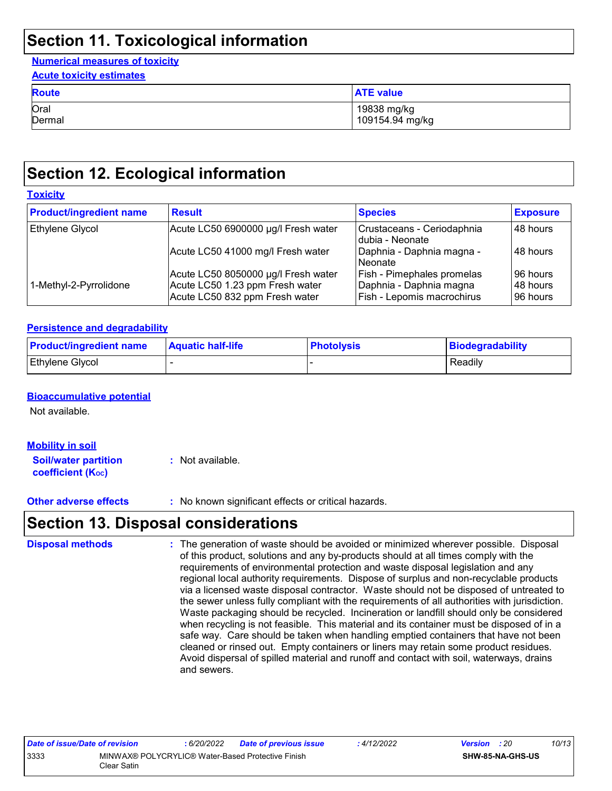## **Section 11. Toxicological information**

#### **Numerical measures of toxicity Acute toxicity estimates**

| <b>ACUTE TOXICITY ESTIMATES</b> |                  |  |  |  |
|---------------------------------|------------------|--|--|--|
| <b>Route</b>                    | <b>ATE value</b> |  |  |  |
| Oral                            | 19838 mg/kg      |  |  |  |
| Dermal                          | 109154.94 mg/kg  |  |  |  |

## **Section 12. Ecological information**

| <b>Product/ingredient name</b> | <b>Result</b>                                                     | <b>Species</b>                                        | <b>Exposure</b>      |
|--------------------------------|-------------------------------------------------------------------|-------------------------------------------------------|----------------------|
|                                |                                                                   |                                                       |                      |
| <b>Ethylene Glycol</b>         | Acute LC50 6900000 µg/l Fresh water                               | Crustaceans - Ceriodaphnia<br>dubia - Neonate         | 48 hours             |
|                                | Acute LC50 41000 mg/l Fresh water                                 | Daphnia - Daphnia magna -<br>l Neonate                | 48 hours             |
|                                | Acute LC50 8050000 µg/l Fresh water                               | <b>Fish - Pimephales promelas</b>                     | l 96 hours           |
| 1-Methyl-2-Pyrrolidone         | Acute LC50 1.23 ppm Fresh water<br>Acute LC50 832 ppm Fresh water | Daphnia - Daphnia magna<br>Fish - Lepomis macrochirus | 48 hours<br>96 hours |

#### **Persistence and degradability**

| <b>Product/ingredient name</b> | <b>Aquatic half-life</b> | <b>Photolysis</b> | Biodegradability |
|--------------------------------|--------------------------|-------------------|------------------|
| <b>Ethylene Glycol</b>         |                          |                   | Readily          |

#### **Bioaccumulative potential**

Not available.

#### **Mobility in soil**

**Soil/water partition coefficient (KOC) :** Not available.

**Other adverse effects** : No known significant effects or critical hazards.

### **Section 13. Disposal considerations**

| <b>Disposal methods</b> | : The generation of waste should be avoided or minimized wherever possible. Disposal<br>of this product, solutions and any by-products should at all times comply with the<br>requirements of environmental protection and waste disposal legislation and any<br>regional local authority requirements. Dispose of surplus and non-recyclable products<br>via a licensed waste disposal contractor. Waste should not be disposed of untreated to<br>the sewer unless fully compliant with the requirements of all authorities with jurisdiction.<br>Waste packaging should be recycled. Incineration or landfill should only be considered<br>when recycling is not feasible. This material and its container must be disposed of in a<br>safe way. Care should be taken when handling emptied containers that have not been<br>cleaned or rinsed out. Empty containers or liners may retain some product residues.<br>Avoid dispersal of spilled material and runoff and contact with soil, waterways, drains |
|-------------------------|----------------------------------------------------------------------------------------------------------------------------------------------------------------------------------------------------------------------------------------------------------------------------------------------------------------------------------------------------------------------------------------------------------------------------------------------------------------------------------------------------------------------------------------------------------------------------------------------------------------------------------------------------------------------------------------------------------------------------------------------------------------------------------------------------------------------------------------------------------------------------------------------------------------------------------------------------------------------------------------------------------------|
|                         | and sewers.                                                                                                                                                                                                                                                                                                                                                                                                                                                                                                                                                                                                                                                                                                                                                                                                                                                                                                                                                                                                    |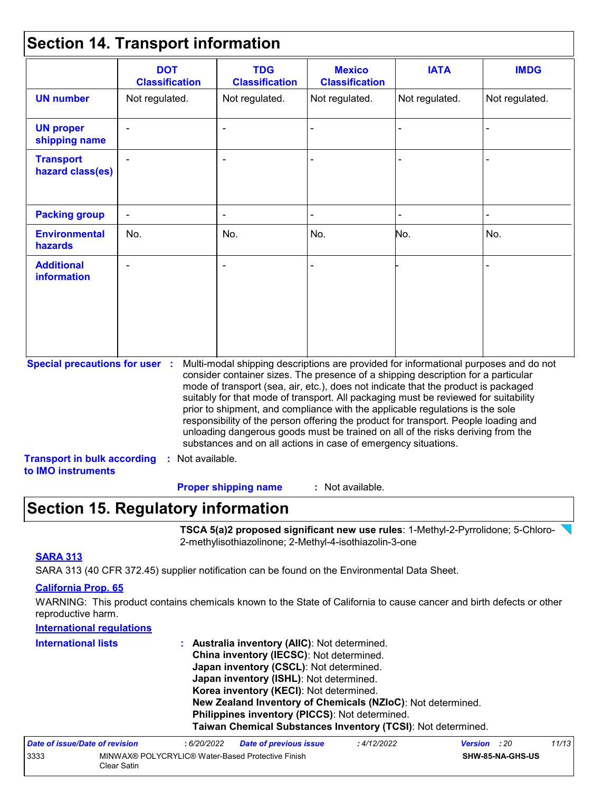### **Section 14. Transport information**

|                                                                             | <b>DOT</b><br><b>Classification</b> | <b>TDG</b><br><b>Classification</b>                                                                                                                                                                                                                                                                                                                                                                                                                                                                                                                                                                                                                                                 | <b>Mexico</b><br><b>Classification</b> | <b>IATA</b>    | <b>IMDG</b>    |
|-----------------------------------------------------------------------------|-------------------------------------|-------------------------------------------------------------------------------------------------------------------------------------------------------------------------------------------------------------------------------------------------------------------------------------------------------------------------------------------------------------------------------------------------------------------------------------------------------------------------------------------------------------------------------------------------------------------------------------------------------------------------------------------------------------------------------------|----------------------------------------|----------------|----------------|
| <b>UN number</b>                                                            | Not regulated.                      | Not regulated.                                                                                                                                                                                                                                                                                                                                                                                                                                                                                                                                                                                                                                                                      | Not regulated.                         | Not regulated. | Not regulated. |
| <b>UN proper</b><br>shipping name                                           |                                     |                                                                                                                                                                                                                                                                                                                                                                                                                                                                                                                                                                                                                                                                                     |                                        |                |                |
| <b>Transport</b><br>hazard class(es)                                        |                                     |                                                                                                                                                                                                                                                                                                                                                                                                                                                                                                                                                                                                                                                                                     |                                        |                |                |
| <b>Packing group</b>                                                        |                                     |                                                                                                                                                                                                                                                                                                                                                                                                                                                                                                                                                                                                                                                                                     |                                        |                |                |
| <b>Environmental</b><br>hazards                                             | No.                                 | No.                                                                                                                                                                                                                                                                                                                                                                                                                                                                                                                                                                                                                                                                                 | No.                                    | No.            | No.            |
| <b>Additional</b><br><b>information</b>                                     |                                     |                                                                                                                                                                                                                                                                                                                                                                                                                                                                                                                                                                                                                                                                                     |                                        |                |                |
| <b>Special precautions for user :</b><br><b>Transport in bulk according</b> | : Not available.                    | Multi-modal shipping descriptions are provided for informational purposes and do not<br>consider container sizes. The presence of a shipping description for a particular<br>mode of transport (sea, air, etc.), does not indicate that the product is packaged<br>suitably for that mode of transport. All packaging must be reviewed for suitability<br>prior to shipment, and compliance with the applicable regulations is the sole<br>responsibility of the person offering the product for transport. People loading and<br>unloading dangerous goods must be trained on all of the risks deriving from the<br>substances and on all actions in case of emergency situations. |                                        |                |                |
| to IMO instruments                                                          |                                     |                                                                                                                                                                                                                                                                                                                                                                                                                                                                                                                                                                                                                                                                                     |                                        |                |                |
|                                                                             |                                     | <b>Proper shipping name</b>                                                                                                                                                                                                                                                                                                                                                                                                                                                                                                                                                                                                                                                         | : Not available.                       |                |                |

## **Section 15. Regulatory information**

3333 MINWAX® POLYCRYLIC® Water-Based Protective Finish

Clear Satin

**TSCA 5(a)2 proposed significant new use rules**: 1-Methyl-2-Pyrrolidone; 5-Chloro-2-methylisothiazolinone; 2-Methyl-4-isothiazolin-3-one

**SHW-85-NA-GHS-US**

#### **SARA 313**

SARA 313 (40 CFR 372.45) supplier notification can be found on the Environmental Data Sheet.

#### **California Prop. 65**

WARNING: This product contains chemicals known to the State of California to cause cancer and birth defects or other reproductive harm.

| <b>International regulations</b> |                                                                                                                                                                                 |                               |                                                                                                                |                     |       |  |                                                                                                        |
|----------------------------------|---------------------------------------------------------------------------------------------------------------------------------------------------------------------------------|-------------------------------|----------------------------------------------------------------------------------------------------------------|---------------------|-------|--|--------------------------------------------------------------------------------------------------------|
| <b>International lists</b>       | : Australia inventory (AIIC): Not determined.<br>China inventory (IECSC): Not determined.<br>Japan inventory (CSCL): Not determined.<br>Japan inventory (ISHL): Not determined. |                               |                                                                                                                |                     |       |  |                                                                                                        |
|                                  |                                                                                                                                                                                 |                               |                                                                                                                |                     |       |  | Korea inventory (KECI): Not determined.<br>New Zealand Inventory of Chemicals (NZIoC): Not determined. |
|                                  |                                                                                                                                                                                 |                               | Philippines inventory (PICCS): Not determined.<br>Taiwan Chemical Substances Inventory (TCSI): Not determined. |                     |       |  |                                                                                                        |
| Date of issue/Date of revision   | :6/20/2022                                                                                                                                                                      | <b>Date of previous issue</b> | :4/12/2022                                                                                                     | <b>Version</b> : 20 | 11/13 |  |                                                                                                        |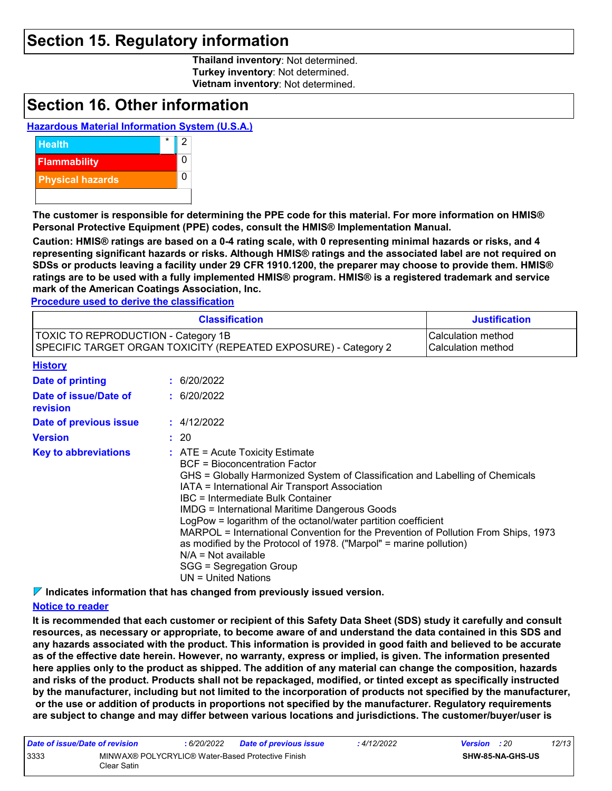### **Section 15. Regulatory information**

**Thailand inventory**: Not determined. **Turkey inventory**: Not determined. **Vietnam inventory**: Not determined.

### **Section 16. Other information**

#### **Hazardous Material Information System (U.S.A.)**



**The customer is responsible for determining the PPE code for this material. For more information on HMIS® Personal Protective Equipment (PPE) codes, consult the HMIS® Implementation Manual.**

**Caution: HMIS® ratings are based on a 0-4 rating scale, with 0 representing minimal hazards or risks, and 4 representing significant hazards or risks. Although HMIS® ratings and the associated label are not required on SDSs or products leaving a facility under 29 CFR 1910.1200, the preparer may choose to provide them. HMIS® ratings are to be used with a fully implemented HMIS® program. HMIS® is a registered trademark and service mark of the American Coatings Association, Inc.**

**Procedure used to derive the classification**

|                                                                                                        | <b>Justification</b>                                                                                                                                                                                                                                                                                                                                                                                                                                                                                                                                                                                                |  |  |  |  |
|--------------------------------------------------------------------------------------------------------|---------------------------------------------------------------------------------------------------------------------------------------------------------------------------------------------------------------------------------------------------------------------------------------------------------------------------------------------------------------------------------------------------------------------------------------------------------------------------------------------------------------------------------------------------------------------------------------------------------------------|--|--|--|--|
| TOXIC TO REPRODUCTION - Category 1B<br>SPECIFIC TARGET ORGAN TOXICITY (REPEATED EXPOSURE) - Category 2 | Calculation method<br>Calculation method                                                                                                                                                                                                                                                                                                                                                                                                                                                                                                                                                                            |  |  |  |  |
| <b>History</b>                                                                                         |                                                                                                                                                                                                                                                                                                                                                                                                                                                                                                                                                                                                                     |  |  |  |  |
| Date of printing                                                                                       | : 6/20/2022                                                                                                                                                                                                                                                                                                                                                                                                                                                                                                                                                                                                         |  |  |  |  |
| Date of issue/Date of<br>revision                                                                      | : 6/20/2022                                                                                                                                                                                                                                                                                                                                                                                                                                                                                                                                                                                                         |  |  |  |  |
| Date of previous issue                                                                                 | : 4/12/2022                                                                                                                                                                                                                                                                                                                                                                                                                                                                                                                                                                                                         |  |  |  |  |
| <b>Version</b>                                                                                         | : 20                                                                                                                                                                                                                                                                                                                                                                                                                                                                                                                                                                                                                |  |  |  |  |
| <b>Key to abbreviations</b>                                                                            | $:$ ATE = Acute Toxicity Estimate<br><b>BCF</b> = Bioconcentration Factor<br>GHS = Globally Harmonized System of Classification and Labelling of Chemicals<br>IATA = International Air Transport Association<br>IBC = Intermediate Bulk Container<br><b>IMDG</b> = International Maritime Dangerous Goods<br>LogPow = logarithm of the octanol/water partition coefficient<br>MARPOL = International Convention for the Prevention of Pollution From Ships, 1973<br>as modified by the Protocol of 1978. ("Marpol" = marine pollution)<br>$N/A = Not available$<br>SGG = Segregation Group<br>$UN = United Nations$ |  |  |  |  |

**Indicates information that has changed from previously issued version.**

#### **Notice to reader**

**It is recommended that each customer or recipient of this Safety Data Sheet (SDS) study it carefully and consult resources, as necessary or appropriate, to become aware of and understand the data contained in this SDS and any hazards associated with the product. This information is provided in good faith and believed to be accurate as of the effective date herein. However, no warranty, express or implied, is given. The information presented here applies only to the product as shipped. The addition of any material can change the composition, hazards and risks of the product. Products shall not be repackaged, modified, or tinted except as specifically instructed by the manufacturer, including but not limited to the incorporation of products not specified by the manufacturer, or the use or addition of products in proportions not specified by the manufacturer. Regulatory requirements are subject to change and may differ between various locations and jurisdictions. The customer/buyer/user is** 

| Date of issue/Date of revision |                                                                   | : 6/20/2022 | <b>Date of previous issue</b> | : 4/12/2022 | <b>Version</b> : 20 |                         | 12/13 |
|--------------------------------|-------------------------------------------------------------------|-------------|-------------------------------|-------------|---------------------|-------------------------|-------|
| 3333                           | MINWAX® POLYCRYLIC® Water-Based Protective Finish<br>Clear Satin_ |             |                               |             |                     | <b>SHW-85-NA-GHS-US</b> |       |